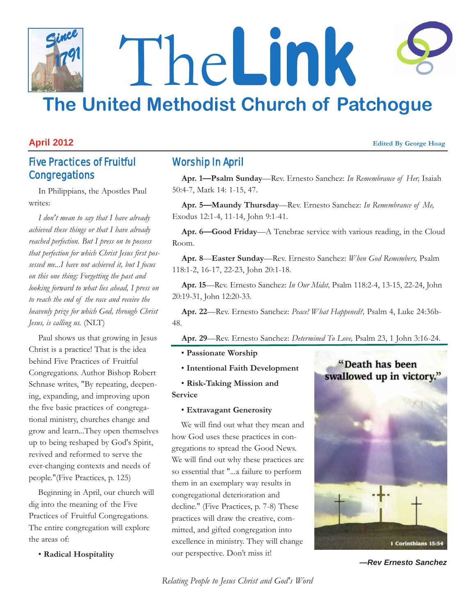# The**Link The United Methodist Church of Patchogue** *Since 1791*

#### **April 2012 Edited By George Hoag**

## Five Practices of Fruitful **Congregations**

In Philippians, the Apostles Paul writes:

*I don't mean to say that I have already achieved these things or that I have already reached perfection. But I press on to possess that perfection for which Christ Jesus first possessed me...I have not achieved it, but I focus on this one thing: Forgetting the past and looking forward to what lies ahead, I press on to reach the end of the race and receive the heavenly prize for which God, through Christ Jesus, is calling us.* (NLT)

Paul shows us that growing in Jesus Christ is a practice! That is the idea behind Five Practices of Fruitful Congregations. Author Bishop Robert Schnase writes, "By repeating, deepening, expanding, and improving upon the five basic practices of congregational ministry, churches change and grow and learn...They open themselves up to being reshaped by God's Spirit, revived and reformed to serve the ever-changing contexts and needs of people."(Five Practices, p. 125)

Beginning in April, our church will dig into the meaning of the Five Practices of Fruitful Congregations. The entire congregation will explore the areas of:

• **Radical Hospitality** 

### Worship In April

**Apr. 1—Psalm Sunday**—Rev. Ernesto Sanchez: *In Remembrance of Her,* Isaiah 50:4-7, Mark 14: 1-15, 47.

**Apr. 5—Maundy Thursday**—Rev. Ernesto Sanchez: *In Remembrance of Me,* Exodus 12:1-4, 11-14, John 9:1-41.

**Apr. 6—Good Friday**—A Tenebrae service with various reading, in the Cloud Room.

**Apr. 8**—**Easter Sunday**—Rev. Ernesto Sanchez: *When God Remembers,* Psalm 118:1-2, 16-17, 22-23, John 20:1-18.

**Apr. 15**—Rev. Ernesto Sanchez: *In Our Midst,* Psalm 118:2-4, 13-15, 22-24, John 20:19-31, John 12:20-33.

**Apr. 22**—Rev. Ernesto Sanchez: *Peace! What Happened?,* Psalm 4, Luke 24:36b-48.

**Apr. 29**—Rev. Ernesto Sanchez: *Determined To Love,* Psalm 23, 1 John 3:16-24.

• **Passionate Worship** 

• **Intentional Faith Development**

• **Risk-Taking Mission and Service** 

• **Extravagant Generosity** 

We will find out what they mean and how God uses these practices in congregations to spread the Good News. We will find out why these practices are so essential that "...a failure to perform them in an exemplary way results in congregational deterioration and decline." (Five Practices, p. 7-8) These practices will draw the creative, committed, and gifted congregation into excellence in ministry. They will change our perspective. Don't miss it!



*—Rev Ernesto Sanchez*

*Relating People to Jesus Christ and God's Word*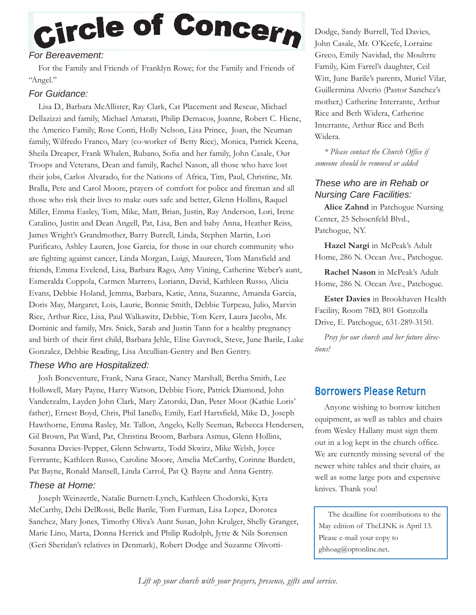# Circle of Concern

#### *For Bereavement:*

For the Family and Friends of Franklyn Rowe; for the Family and Friends of "Angel."

#### *For Guidance:*

Lisa D., Barbara McAllister, Ray Clark, Cat Placement and Rescue, Michael Dellazizzi and family, Michael Amarati, Philip Demacos, Joanne, Robert C. Hiene, the Americo Family, Rose Conti, Holly Nelson, Lisa Prince, Joan, the Neuman family, Wilfredo Franco, Mary (co-worker of Betty Rice), Monica, Patrick Keena, Sheila Dreaper, Frank Whalen, Rubano, Sofia and her family, John Casale, Our Troops and Veterans, Dean and family, Rachel Nason, all those who have lost their jobs, Carlos Alvarado, for the Nations of Africa, Tim, Paul, Christine, Mr. Bralla, Pete and Carol Moore, prayers of comfort for police and fireman and all those who risk their lives to make ours safe and better, Glenn Hollins, Raquel Miller, Emma Easley, Tom, Mike, Matt, Brian, Justin, Ray Anderson, Lori, Irene Catalino, Justin and Dean Angell, Pat, Lisa, Ben and baby Anna, Heather Reiss, James Wright's Grandmother, Barry Burrell, Linda, Stephen Martin, Lori Purificato, Ashley Lauren, Jose Garcia, for those in our church community who are fighting against cancer, Linda Morgan, Luigi, Maureen, Tom Mansfield and friends, Emma Evelend, Lisa, Barbara Rago, Amy Vining, Catherine Weber's aunt, Esmeralda Coppola, Carmen Marrero, Loriann, David, Kathleen Russo, Alicia Evans, Debbie Holand, Jemma, Barbara, Katie, Anna, Suzanne, Amanda Garcia, Doris May, Margaret, Lois, Laurie, Bonnie Smith, Debbie Turpeau, Julio, Marvin Rice, Arthur Rice, Lisa, Paul Walkawitz, Debbie, Tom Kerr, Laura Jacobs, Mr. Dominic and family, Mrs. Snick, Sarah and Justin Tann for a healthy pregnancy and birth of their first child, Barbara Jehle, Elise Gavrock, Steve, June Barile, Luke Gonzalez, Debbie Reading, Lisa Atcullian-Gentry and Ben Gentry.

#### *These Who are Hospitalized:*

Josh Boneventure, Frank, Nana Grace, Nancy Marshall, Bertha Smith, Lee Hollowell, Mary Payne, Harry Watson, Debbie Fiore, Patrick Diamond, John Vanderzalm, Layden John Clark, Mary Zatorski, Dan, Peter Moor (Kathie Loris' father), Ernest Boyd, Chris, Phil Ianello, Emily, Earl Hartsfield, Mike D., Joseph Hawthorne, Emma Rasley, Mr. Tallon, Angelo, Kelly Seeman, Rebecca Hendersen, Gil Brown, Pat Ward, Pat, Christina Broom, Barbara Asmus, Glenn Hollins, Susanna Davies-Pepper, Glenn Schwartz, Todd Skwirz, Mike Welsh, Joyce Ferrrante, Kathleen Russo, Caroline Moore, Amelia McCarthy, Corinne Burdett, Pat Bayne, Ronald Mansell, Linda Carrol, Pat Q. Bayne and Anna Gentry.

#### *These at Home:*

Joseph Weinzettle, Natalie Burnett-Lynch, Kathleen Chodorski, Kyra McCarthy, Debi DelRossi, Belle Barile, Tom Furman, Lisa Lopez, Dorotea Sanchez, Mary Jones, Timothy Oliva's Aunt Susan, John Krulger, Shelly Granger, Marie Lino, Marta, Donna Herrick and Philip Rudolph, Jytte & Nils Sorensen (Geri Sheridan's relatives in Denmark), Robert Dodge and Suzanne OlivottiDodge, Sandy Burrell, Ted Davies, John Casale, Mr. O'Keefe, Lorraine Greco, Emily Navidad, the Moultrre Family, Kim Farrel's daughter, Ceil Witt, June Barile's parents, Muriel Vilar, Guillermina Alverio (Pastor Sanchez's mother,) Catherine Interrante, Arthur Rice and Beth Widera, Catherine Interrante, Arthur Rice and Beth Widera.

*\* Please contact the Church Office if someone should be removed or added*

#### *These who are in Rehab or Nursing Care Facilities:*

**Alice Zahnd** in Patchogue Nursing Center, 25 Schoenfeld Blvd., Patchogue, NY.

**Hazel Nargi** in McPeak's Adult Home, 286 N. Ocean Ave., Patchogue.

**Rachel Nason** in McPeak's Adult Home, 286 N. Ocean Ave., Patchogue.

**Ester Davies** in Brookhaven Health Facility, Room 78D, 801 Gonzolla Drive, E. Patchogue, 631-289-3150.

*Pray for our church and her future directions!*

### Borrowers Please Return

Anyone wishing to borrow kitchen equipment, as well as tables and chairs from Wesley Hallany must sign them out in a log kept in the church office. We are currently missing several of the newer white tables and their chairs, as well as some large pots and expensive knives. Thank you!

The deadline for contributions to the May edition of TheLINK is April 13. Please e-mail your copy to gbhoag@optonline.net.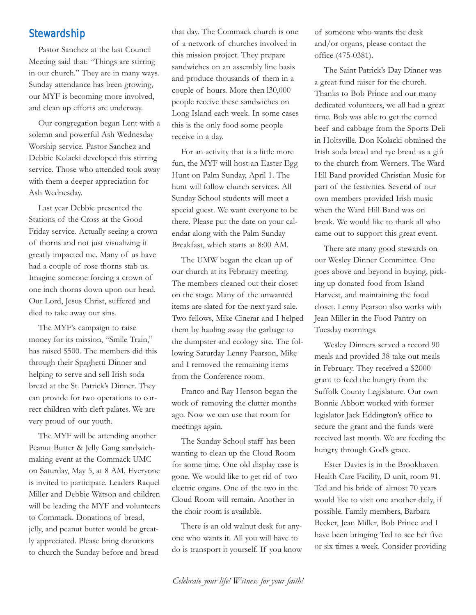#### **Stewardship**

Pastor Sanchez at the last Council Meeting said that: "Things are stirring in our church." They are in many ways. Sunday attendance has been growing, our MYF is becoming more involved, and clean up efforts are underway.

Our congregation began Lent with a solemn and powerful Ash Wednesday Worship service. Pastor Sanchez and Debbie Kolacki developed this stirring service. Those who attended took away with them a deeper appreciation for Ash Wednesday.

Last year Debbie presented the Stations of the Cross at the Good Friday service. Actually seeing a crown of thorns and not just visualizing it greatly impacted me. Many of us have had a couple of rose thorns stab us. Imagine someone forcing a crown of one inch thorns down upon our head. Our Lord, Jesus Christ, suffered and died to take away our sins.

The MYF's campaign to raise money for its mission, "Smile Train," has raised \$500. The members did this through their Spaghetti Dinner and helping to serve and sell Irish soda bread at the St. Patrick's Dinner. They can provide for two operations to correct children with cleft palates. We are very proud of our youth.

The MYF will be attending another Peanut Butter & Jelly Gang sandwichmaking event at the Commack UMC on Saturday, May 5, at 8 AM. Everyone is invited to participate. Leaders Raquel Miller and Debbie Watson and children will be leading the MYF and volunteers to Commack. Donations of bread, jelly, and peanut butter would be greatly appreciated. Please bring donations to church the Sunday before and bread

that day. The Commack church is one of a network of churches involved in this mission project. They prepare sandwiches on an assembly line basis and produce thousands of them in a couple of hours. More then l30,000 people receive these sandwiches on Long Island each week. In some cases this is the only food some people receive in a day.

For an activity that is a little more fun, the MYF will host an Easter Egg Hunt on Palm Sunday, April 1. The hunt will follow church services. All Sunday School students will meet a special guest. We want everyone to be there. Please put the date on your calendar along with the Palm Sunday Breakfast, which starts at 8:00 AM.

The UMW began the clean up of our church at its February meeting. The members cleaned out their closet on the stage. Many of the unwanted items are slated for the next yard sale. Two fellows, Mike Cinerar and I helped them by hauling away the garbage to the dumpster and ecology site. The following Saturday Lenny Pearson, Mike and I removed the remaining items from the Conference room.

Franco and Ray Henson began the work of removing the clutter months ago. Now we can use that room for meetings again.

The Sunday School staff has been wanting to clean up the Cloud Room for some time. One old display case is gone. We would like to get rid of two electric organs. One of the two in the Cloud Room will remain. Another in the choir room is available.

There is an old walnut desk for anyone who wants it. All you will have to do is transport it yourself. If you know of someone who wants the desk and/or organs, please contact the office (475-0381).

The Saint Patrick's Day Dinner was a great fund raiser for the church. Thanks to Bob Prince and our many dedicated volunteers, we all had a great time. Bob was able to get the corned beef and cabbage from the Sports Deli in Holtsville. Don Kolacki obtained the Irish soda bread and rye bread as a gift to the church from Werners. The Ward Hill Band provided Christian Music for part of the festivities. Several of our own members provided Irish music when the Ward Hill Band was on break. We would like to thank all who came out to support this great event.

There are many good stewards on our Wesley Dinner Committee. One goes above and beyond in buying, picking up donated food from Island Harvest, and maintaining the food closet. Lenny Pearson also works with Jean Miller in the Food Pantry on Tuesday mornings.

Wesley Dinners served a record 90 meals and provided 38 take out meals in February. They received a \$2000 grant to feed the hungry from the Suffolk County Legislature. Our own Bonnie Abbott worked with former legislator Jack Eddington's office to secure the grant and the funds were received last month. We are feeding the hungry through God's grace.

Ester Davies is in the Brookhaven Health Care Facility, D unit, room 91. Ted and his bride of almost 70 years would like to visit one another daily, if possible. Family members, Barbara Becker, Jean Miller, Bob Prince and I have been bringing Ted to see her five or six times a week. Consider providing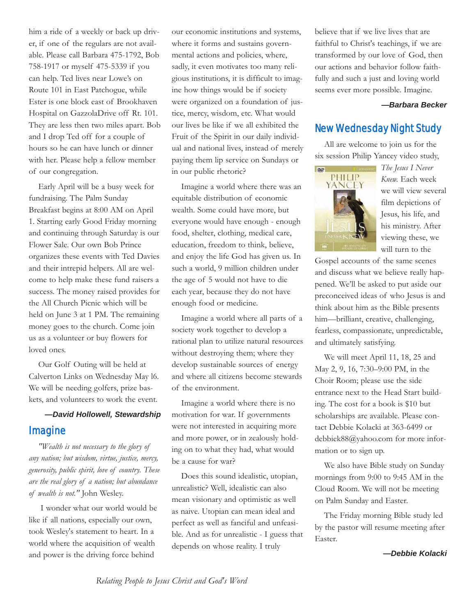him a ride of a weekly or back up driver, if one of the regulars are not available. Please call Barbara 475-1792, Bob 758-1917 or myself 475-5339 if you can help. Ted lives near Lowe's on Route 101 in East Patchogue, while Ester is one block east of Brookhaven Hospital on GazzolaDrive off Rt. 101. They are less then two miles apart. Bob and I drop Ted off for a couple of hours so he can have lunch or dinner with her. Please help a fellow member of our congregation.

Early April will be a busy week for fundraising. The Palm Sunday Breakfast begins at 8:00 AM on April 1. Starting early Good Friday morning and continuing through Saturday is our Flower Sale. Our own Bob Prince organizes these events with Ted Davies and their intrepid helpers. All are welcome to help make these fund raisers a success. The money raised provides for the All Church Picnic which will be held on June 3 at 1 PM. The remaining money goes to the church. Come join us as a volunteer or buy flowers for loved ones.

Our Golf Outing will be held at Calverton Links on Wednesday May l6. We will be needing golfers, prize baskets, and volunteers to work the event.

## *—David Hollowell, Stewardship* Imagine

*"Wealth is not necessary to the glory of any nation; but wisdom, virtue, justice, mercy, generosity, public spirit, love of country. These are the real glory of a nation; but abundance of wealth is not."* John Wesley.

I wonder what our world would be like if all nations, especially our own, took Wesley's statement to heart. In a world where the acquisition of wealth and power is the driving force behind

our economic institutions and systems, where it forms and sustains governmental actions and policies, where, sadly, it even motivates too many religious institutions, it is difficult to imagine how things would be if society were organized on a foundation of justice, mercy, wisdom, etc. What would our lives be like if we all exhibited the Fruit of the Spirit in our daily individual and national lives, instead of merely paying them lip service on Sundays or in our public rhetoric?

Imagine a world where there was an equitable distribution of economic wealth. Some could have more, but everyone would have enough - enough food, shelter, clothing, medical care, education, freedom to think, believe, and enjoy the life God has given us. In such a world, 9 million children under the age of 5 would not have to die each year, because they do not have enough food or medicine.

Imagine a world where all parts of a society work together to develop a rational plan to utilize natural resources without destroying them; where they develop sustainable sources of energy and where all citizens become stewards of the environment.

Imagine a world where there is no motivation for war. If governments were not interested in acquiring more and more power, or in zealously holding on to what they had, what would be a cause for war?

Does this sound idealistic, utopian, unrealistic? Well, idealistic can also mean visionary and optimistic as well as naive. Utopian can mean ideal and perfect as well as fanciful and unfeasible. And as for unrealistic - I guess that depends on whose reality. I truly

believe that if we live lives that are faithful to Christ's teachings, if we are transformed by our love of God, then our actions and behavior follow faithfully and such a just and loving world seems ever more possible. Imagine.

#### *—Barbara Becker*

### New Wednesday Night Study

All are welcome to join us for the six session Philip Yancey video study,



*The Jesus I Never Knew.* Each week we will view several film depictions of Jesus, his life, and his ministry. After viewing these, we will turn to the

Gospel accounts of the same scenes and discuss what we believe really happened. We'll be asked to put aside our preconceived ideas of who Jesus is and think about him as the Bible presents him—brilliant, creative, challenging, fearless, compassionate, unpredictable, and ultimately satisfying.

We will meet April 11, 18, 25 and May 2, 9, 16, 7:30–9:00 PM, in the Choir Room; please use the side entrance next to the Head Start building. The cost for a book is \$10 but scholarships are available. Please contact Debbie Kolacki at 363-6499 or debbiek88@yahoo.com for more information or to sign up.

We also have Bible study on Sunday mornings from 9:00 to 9:45 AM in the Cloud Room. We will not be meeting on Palm Sunday and Easter.

The Friday morning Bible study led by the pastor will resume meeting after Easter.

*—Debbie Kolacki*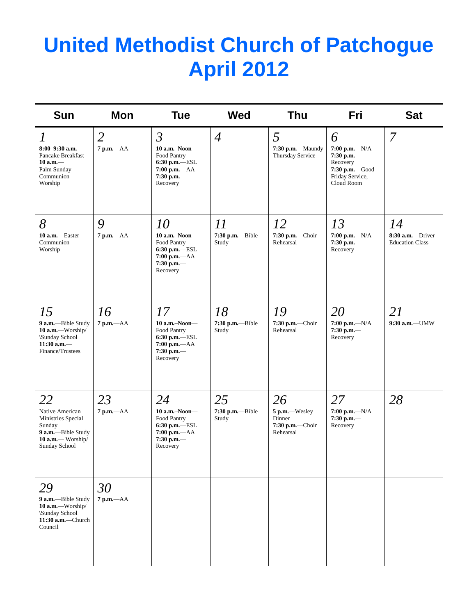# **United Methodist Church of Patchogue April 2012**

| <b>Sun</b>                                                                                                        | Mon                            | <b>Tue</b>                                                                                                    | <b>Wed</b>                      | <b>Thu</b>                                                    | Fri                                                                                                  | <b>Sat</b>                                           |
|-------------------------------------------------------------------------------------------------------------------|--------------------------------|---------------------------------------------------------------------------------------------------------------|---------------------------------|---------------------------------------------------------------|------------------------------------------------------------------------------------------------------|------------------------------------------------------|
| $\overline{l}$<br>$8:00-9:30$ a.m.-<br>Pancake Breakfast<br>$10$ a.m. $-$<br>Palm Sunday<br>Communion<br>Worship  | $\overline{2}$<br>$7 p.m. -AA$ | $\mathfrak{Z}$<br>$10$ a.m.-Noon-<br>Food Pantry<br>6:30 p.m.-ESL<br>7:00 p.m.-AA<br>$7:30$ p.m.-<br>Recovery | $\overline{4}$                  | 5<br>7:30 p.m.-Maundy<br>Thursday Service                     | 6<br>$7:00 p.m. -N/A$<br>$7:30$ p.m.—<br>Recovery<br>7:30 p.m.-Good<br>Friday Service,<br>Cloud Room | $\overline{7}$                                       |
| 8<br>10 a.m.-Easter<br>Communion<br>Worship                                                                       | 9<br>$7$ p.m. $-AA$            | 10<br>$10$ a.m.-Noon---<br>Food Pantry<br>$6:30$ p.m.-ESL<br>7:00 p.m.-AA<br>$7:30$ p.m.-<br>Recovery         | 11<br>7:30 p.m.--Bible<br>Study | 12<br>7:30 p.m.-Choir<br>Rehearsal                            | 13<br>$7:00$ p.m.- $-N/A$<br>$7:30$ p.m.-<br>Recovery                                                | 14<br>$8:30$ a.m. - Driver<br><b>Education Class</b> |
| 15<br>9 a.m.-Bible Study<br>10 a.m.-Worship/<br>\Sunday School<br>$11:30$ a.m.-<br>Finance/Trustees               | 16<br>7 p.m.-AA                | 17<br>$10$ a.m.-Noon-<br>Food Pantry<br>$6:30$ p.m.-ESL<br>7:00 p.m.-- AA<br>$7:30$ p.m.-<br>Recovery         | 18<br>7:30 p.m.-Bible<br>Study  | 19<br>7:30 p.m.-Choir<br>Rehearsal                            | 20<br>$7:00 p.m. -N/A$<br>$7:30$ p.m.-<br>Recovery                                                   | 21<br>$9:30$ a.m.-UMW                                |
| 22<br>Native American<br>Ministries Special<br>Sunday<br>9 a.m.-Bible Study<br>10 a.m.— Worship/<br>Sunday School | 23<br>$7$ p.m. $-AA$           | 24<br>$10$ a.m.-Noon-<br>Food Pantry<br>6:30 p.m.-ESL<br>$7:00 p.m. -AA$<br>$7:30$ p.m.-<br>Recovery          | 25<br>7:30 p.m.--Bible<br>Study | 26<br>5 p.m.-Wesley<br>Dinner<br>7:30 p.m.-Choir<br>Rehearsal | 27<br>$7:00 p.m. -N/A$<br>$7:30$ p.m.-<br>Recovery                                                   | 28                                                   |
| 29<br>9 a.m.-Bible Study<br>10 a.m.—Worship/<br>\Sunday School<br>$11:30$ a.m.-Church<br>Council                  | 30<br>7 p.m.-- AA              |                                                                                                               |                                 |                                                               |                                                                                                      |                                                      |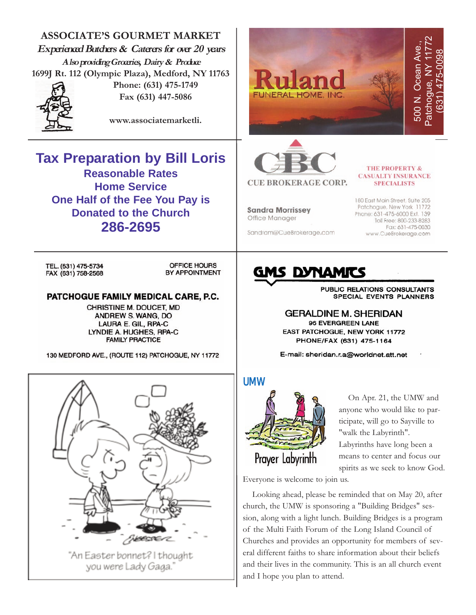**ASSOCIATE'S GOURMET MARKET** Patchogue, NY 11772 500 N. Ocean Ave., **Experienced Butchers & Caterers for over 20 years** Ocean Ave (631) 475-0098 **Also providing Groceries, Dairy & Produce** Patchogue, NY **1699J Rt. 112 (Olympic Plaza), Medford, NY 11763 Phone: (631) 475-1749** 500 N. **JNERAL HOME, INC Fax (631) 447-5086 www.associatemarketli. Tax Preparation by Bill Loris THE PROPERTY & Reasonable Rates CASUALTY INSURANCE CUE BROKERAGE CORP. SPECIALISTS Home Service One Half of the Fee You Pay is** 180 East Main Street, Suite 205 Patchogue, New York 11772 **Sandra Morrissey Donated to the Church** Phone: 631-475-6000 Ext. 139 Office Manager Toll Free: 800-233-8283 **286-2695** Fax: 631-475-0030 Sandram@CueBrokerage.com www.CueBrokerage.com TEL. (631) 475-5734 OFFICE HOURS **S DYNAMI** FAX (631) 758-2568 BY APPOINTMENT PUBLIC RELATIONS CONSULTANTS PATCHOGUE FAMILY MEDICAL CARE, P.C. **SPECIAL EVENTS PLANNERS** CHRISTINE M. DOUCET, MD **GERALDINE M. SHERIDAN** ANDREW S. WANG, DO 96 EVERGREEN LANE LAURA E. GIL, RPA-C EAST PATCHOGUE, NEW YORK 11772 LYNDIE A. HUGHES, RPA-C **FAMILY PRACTICE** PHONE/FAX (631) 475-1164 130 MEDFORD AVE., (ROUTE 112) PATCHOGUE, NY 11772 E-mail: sheridan.r.a@worldnet.att.net UMW On Apr. 21, the UMW and anyone who would like to participate, will go to Sayville to "walk the Labyrinth". Labyrinths have long been a Prayer Labyrinth means to center and focus our

**ENGERIE** 

"An Easter bonnet? I thought you were Lady Gaga."

spirits as we seek to know God.

Everyone is welcome to join us.

Looking ahead, please be reminded that on May 20, after church, the UMW is sponsoring a "Building Bridges" session, along with a light lunch. Building Bridges is a program of the Multi Faith Forum of the Long Island Council of Churches and provides an opportunity for members of several different faiths to share information about their beliefs and their lives in the community. This is an all church event and I hope you plan to attend.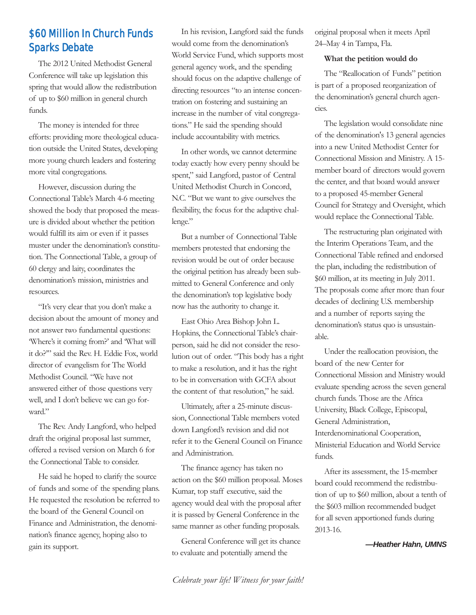# \$60 Million In Church Funds Sparks Debate

The 2012 United Methodist General Conference will take up legislation this spring that would allow the redistribution of up to \$60 million in general church funds.

The money is intended for three efforts: providing more theological education outside the United States, developing more young church leaders and fostering more vital congregations.

However, discussion during the Connectional Table's March 4-6 meeting showed the body that proposed the measure is divided about whether the petition would fulfill its aim or even if it passes muster under the denomination's constitution. The Connectional Table, a group of 60 clergy and laity, coordinates the denomination's mission, ministries and resources.

"It's very clear that you don't make a decision about the amount of money and not answer two fundamental questions: 'Where's it coming from?' and 'What will it do?'" said the Rev. H. Eddie Fox, world director of evangelism for The World Methodist Council. "We have not answered either of those questions very well, and I don't believe we can go forward."

The Rev. Andy Langford, who helped draft the original proposal last summer, offered a revised version on March 6 for the Connectional Table to consider.

He said he hoped to clarify the source of funds and some of the spending plans. He requested the resolution be referred to the board of the General Council on Finance and Administration, the denomination's finance agency, hoping also to gain its support.

In his revision, Langford said the funds would come from the denomination's World Service Fund, which supports most general agency work, and the spending should focus on the adaptive challenge of directing resources "to an intense concentration on fostering and sustaining an increase in the number of vital congregations." He said the spending should include accountability with metrics.

In other words, we cannot determine today exactly how every penny should be spent," said Langford, pastor of Central United Methodist Church in Concord, N.C. "But we want to give ourselves the flexibility, the focus for the adaptive challenge."

But a number of Connectional Table members protested that endorsing the revision would be out of order because the original petition has already been submitted to General Conference and only the denomination's top legislative body now has the authority to change it.

East Ohio Area Bishop John L. Hopkins, the Connectional Table's chairperson, said he did not consider the resolution out of order. "This body has a right to make a resolution, and it has the right to be in conversation with GCFA about the content of that resolution," he said.

Ultimately, after a 25-minute discussion, Connectional Table members voted down Langford's revision and did not refer it to the General Council on Finance and Administration.

The finance agency has taken no action on the \$60 million proposal. Moses Kumar, top staff executive, said the agency would deal with the proposal after it is passed by General Conference in the same manner as other funding proposals.

General Conference will get its chance to evaluate and potentially amend the

original proposal when it meets April 24–May 4 in Tampa, Fla.

#### **What the petition would do**

The "Reallocation of Funds" petition is part of a proposed reorganization of the denomination's general church agencies.

The legislation would consolidate nine of the denomination's 13 general agencies into a new United Methodist Center for Connectional Mission and Ministry. A 15 member board of directors would govern the center, and that board would answer to a proposed 45-member General Council for Strategy and Oversight, which would replace the Connectional Table.

The restructuring plan originated with the Interim Operations Team, and the Connectional Table refined and endorsed the plan, including the redistribution of \$60 million, at its meeting in July 2011. The proposals come after more than four decades of declining U.S. membership and a number of reports saying the denomination's status quo is unsustainable.

Under the reallocation provision, the board of the new Center for Connectional Mission and Ministry would evaluate spending across the seven general church funds. Those are the Africa University, Black College, Episcopal, General Administration, Interdenominational Cooperation, Ministerial Education and World Service funds.

After its assessment, the 15-member board could recommend the redistribution of up to \$60 million, about a tenth of the \$603 million recommended budget for all seven apportioned funds during 2013-16.

*—Heather Hahn, UMNS*